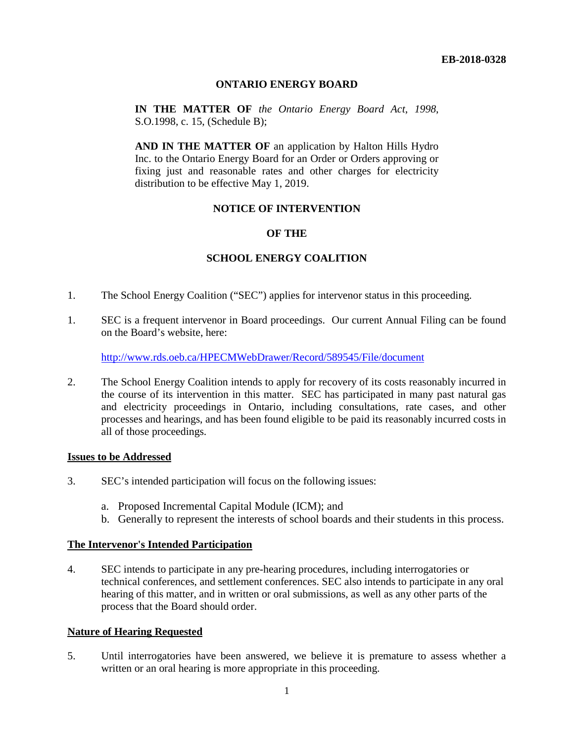### **ONTARIO ENERGY BOARD**

**IN THE MATTER OF** *the Ontario Energy Board Act*, *1998*, S.O.1998, c. 15, (Schedule B);

**AND IN THE MATTER OF** an application by Halton Hills Hydro Inc. to the Ontario Energy Board for an Order or Orders approving or fixing just and reasonable rates and other charges for electricity distribution to be effective May 1, 2019.

# **NOTICE OF INTERVENTION**

## **OF THE**

## **SCHOOL ENERGY COALITION**

- 1. The School Energy Coalition ("SEC") applies for intervenor status in this proceeding.
- 1. SEC is a frequent intervenor in Board proceedings. Our current Annual Filing can be found on the Board's website, here:

<http://www.rds.oeb.ca/HPECMWebDrawer/Record/589545/File/document>

2. The School Energy Coalition intends to apply for recovery of its costs reasonably incurred in the course of its intervention in this matter. SEC has participated in many past natural gas and electricity proceedings in Ontario, including consultations, rate cases, and other processes and hearings, and has been found eligible to be paid its reasonably incurred costs in all of those proceedings.

#### **Issues to be Addressed**

- 3. SEC's intended participation will focus on the following issues:
	- a. Proposed Incremental Capital Module (ICM); and
	- b. Generally to represent the interests of school boards and their students in this process.

### **The Intervenor's Intended Participation**

4. SEC intends to participate in any pre-hearing procedures, including interrogatories or technical conferences, and settlement conferences. SEC also intends to participate in any oral hearing of this matter, and in written or oral submissions, as well as any other parts of the process that the Board should order.

### **Nature of Hearing Requested**

5. Until interrogatories have been answered, we believe it is premature to assess whether a written or an oral hearing is more appropriate in this proceeding.